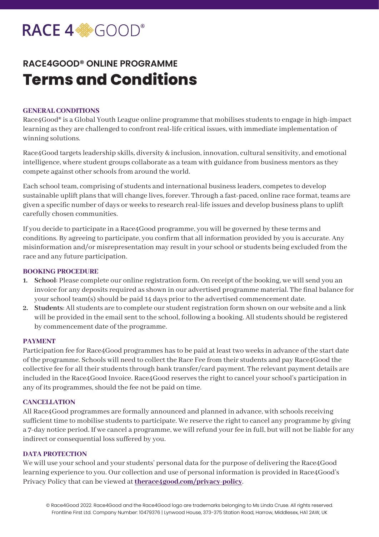# RACE 4<sup>%</sup>GOOD®

# **RACE4GOOD® ONLINE PROGRAMME Terms and Conditions**

## **GENERAL CONDITIONS**

Race4Good® is a Global Youth League online programme that mobilises students to engage in high-impact learning as they are challenged to confront real-life critical issues, with immediate implementation of winning solutions.

Race4Good targets leadership skills, diversity & inclusion, innovation, cultural sensitivity, and emotional intelligence, where student groups collaborate as a team with guidance from business mentors as they compete against other schools from around the world.

Each school team, comprising of students and international business leaders, competes to develop sustainable uplift plans that will change lives, forever. Through a fast-paced, online race format, teams are given a specific number of days or weeks to research real-life issues and develop business plans to uplift carefully chosen communities.

If you decide to participate in a Race4Good programme, you will be governed by these terms and conditions. By agreeing to participate, you confirm that all information provided by you is accurate. Any misinformation and/or misrepresentation may result in your school or students being excluded from the race and any future participation.

### **BOOKING PROCEDURE**

- **1. School**: Please complete our online registration form. On receipt of the booking, we will send you an invoice for any deposits required as shown in our advertised programme material. The final balance for your school team(s) should be paid 14 days prior to the advertised commencement date.
- **2. Students**: All students are to complete our student registration form shown on our website and a link will be provided in the email sent to the school, following a booking. All students should be registered by commencement date of the programme.

#### **PAYMENT**

Participation fee for Race4Good programmes has to be paid at least two weeks in advance of the start date of the programme. Schools will need to collect the Race Fee from their students and pay Race4Good the collective fee for all their students through bank transfer/card payment. The relevant payment details are included in the Race4Good Invoice. Race4Good reserves the right to cancel your school's participation in any of its programmes, should the fee not be paid on time.

#### **CANCELLATION**

All Race4Good programmes are formally announced and planned in advance, with schools receiving sufficient time to mobilise students to participate. We reserve the right to cancel any programme by giving a 7-day notice period. If we cancel a programme, we will refund your fee in full, but will not be liable for any indirect or consequential loss suffered by you.

#### **DATA PROTECTION**

We will use your school and your students' personal data for the purpose of delivering the Race4Good learning experience to you. Our collection and use of personal information is provided in Race4Good's Privacy Policy that can be viewed at **[therace4good.com/privacy-policy](http://www.therace4good.com/privacy-policy)**.